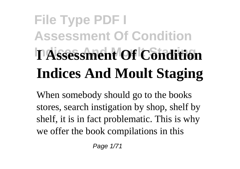# **File Type PDF I Assessment Of Condition Indices And Moult Staging I Assessment Of Condition Indices And Moult Staging**

When somebody should go to the books stores, search instigation by shop, shelf by shelf, it is in fact problematic. This is why we offer the book compilations in this

Page 1/71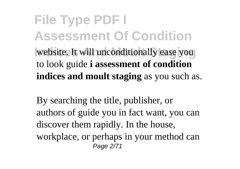## **File Type PDF I Assessment Of Condition** website. It will unconditionally ease you to look guide **i assessment of condition indices and moult staging** as you such as.

By searching the title, publisher, or authors of guide you in fact want, you can discover them rapidly. In the house, workplace, or perhaps in your method can Page 2/71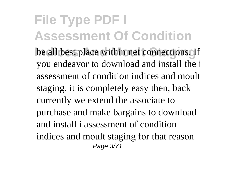**File Type PDF I Assessment Of Condition** be all best place within net connections. If you endeavor to download and install the i assessment of condition indices and moult staging, it is completely easy then, back currently we extend the associate to purchase and make bargains to download and install i assessment of condition indices and moult staging for that reason Page 3/71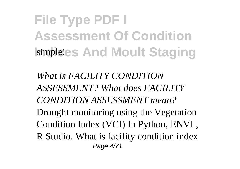**File Type PDF I Assessment Of Condition Isimple'es And Moult Staging** 

*What is FACILITY CONDITION ASSESSMENT? What does FACILITY CONDITION ASSESSMENT mean?* Drought monitoring using the Vegetation Condition Index (VCI) In Python, ENVI , R Studio. What is facility condition index Page 4/71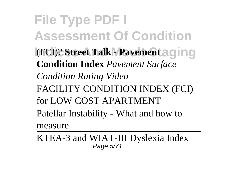**File Type PDF I Assessment Of Condition Indicate Talk - Pavement and India Condition Index** *Pavement Surface Condition Rating Video* FACILITY CONDITION INDEX (FCI) for LOW COST APARTMENT Patellar Instability - What and how to

measure

KTEA-3 and WIAT-III Dyslexia Index Page 5/71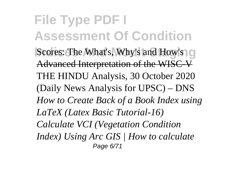**File Type PDF I Assessment Of Condition Scores: The What's, Why's and How's and** Advanced Interpretation of the WISC-V THE HINDU Analysis, 30 October 2020 (Daily News Analysis for UPSC) – DNS *How to Create Back of a Book Index using LaTeX (Latex Basic Tutorial-16) Calculate VCI (Vegetation Condition Index) Using Arc GIS | How to calculate* Page 6/71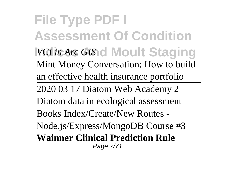**File Type PDF I Assessment Of Condition** *<i>VCI in Arc GIS* **d Moult Staging** Mint Money Conversation: How to build an effective health insurance portfolio 2020 03 17 Diatom Web Academy 2 Diatom data in ecological assessment Books Index/Create/New Routes - Node.js/Express/MongoDB Course #3 **Wainner Clinical Prediction Rule** Page 7/71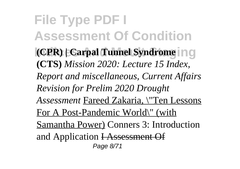**File Type PDF I Assessment Of Condition Indices And Carpal Tunnel Syndrome (CTS)** *Mission 2020: Lecture 15 Index, Report and miscellaneous, Current Affairs Revision for Prelim 2020 Drought Assessment* Fareed Zakaria, \"Ten Lessons For A Post-Pandemic World\" (with Samantha Power) Conners 3: Introduction and Application I Assessment Of Page 8/71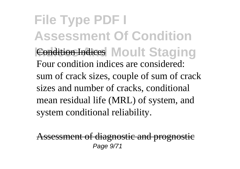**File Type PDF I Assessment Of Condition Condition Indices Moult Staging** Four condition indices are considered: sum of crack sizes, couple of sum of crack sizes and number of cracks, conditional mean residual life (MRL) of system, and system conditional reliability.

Assessment of diagnostic and prognostic Page 9/71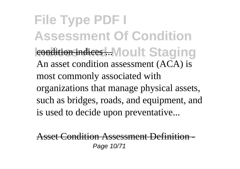**File Type PDF I Assessment Of Condition** *<u>Eondition indices ...</u>* **Moult Staging** An asset condition assessment (ACA) is most commonly associated with organizations that manage physical assets, such as bridges, roads, and equipment, and is used to decide upon preventative...

sset Condition Assessment Definition Page 10/71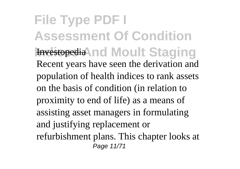**File Type PDF I Assessment Of Condition Investopedia And Moult Staging** Recent years have seen the derivation and population of health indices to rank assets on the basis of condition (in relation to proximity to end of life) as a means of assisting asset managers in formulating and justifying replacement or refurbishment plans. This chapter looks at Page 11/71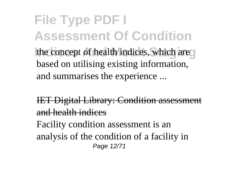**File Type PDF I Assessment Of Condition** the concept of health indices, which are based on utilising existing information, and summarises the experience ...

**IET Digital Library: Condition assessme** and health indices

Facility condition assessment is an analysis of the condition of a facility in Page 12/71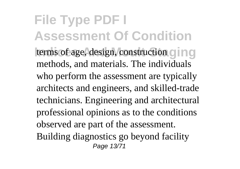**File Type PDF I Assessment Of Condition** terms of age, design, construction **ain a** methods, and materials. The individuals who perform the assessment are typically architects and engineers, and skilled-trade technicians. Engineering and architectural professional opinions as to the conditions observed are part of the assessment. Building diagnostics go beyond facility Page 13/71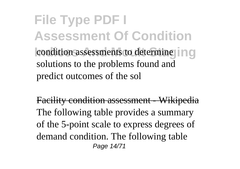**File Type PDF I Assessment Of Condition Indicate And Mondition assessments to determine no** solutions to the problems found and predict outcomes of the sol

Facility condition assessment - Wikipedia The following table provides a summary of the 5-point scale to express degrees of demand condition. The following table Page 14/71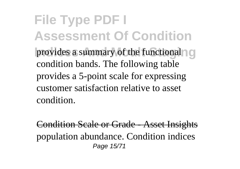**File Type PDF I Assessment Of Condition provides a summary of the functional 1 Q** condition bands. The following table provides a 5-point scale for expressing customer satisfaction relative to asset condition.

Condition Scale or Grade - Asset Insights population abundance. Condition indices Page 15/71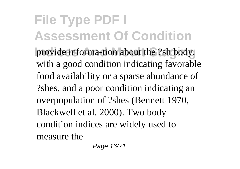**File Type PDF I Assessment Of Condition** provide informa-tion about the ?sh body, with a good condition indicating favorable food availability or a sparse abundance of ?shes, and a poor condition indicating an overpopulation of ?shes (Bennett 1970, Blackwell et al. 2000). Two body condition indices are widely used to measure the

Page 16/71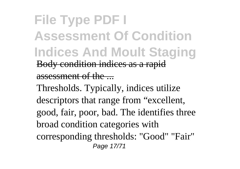#### **File Type PDF I Assessment Of Condition Indices And Moult Staging** Body condition indices as a rapid assessment of the ...

Thresholds. Typically, indices utilize descriptors that range from "excellent, good, fair, poor, bad. The identifies three broad condition categories with corresponding thresholds: "Good" "Fair" Page 17/71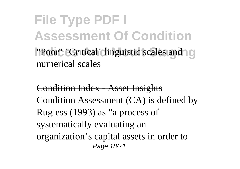**File Type PDF I Assessment Of Condition "Poor" "Critical" linguistic scales and CO** numerical scales

Condition Index - Asset Insights Condition Assessment (CA) is defined by Rugless (1993) as "a process of systematically evaluating an organization's capital assets in order to Page 18/71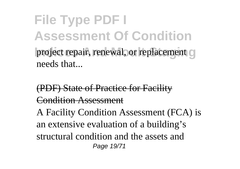**File Type PDF I Assessment Of Condition** project repair, renewal, or replacement of needs that...

(PDF) State of Practice for Facility Condition Assessment A Facility Condition Assessment (FCA) is an extensive evaluation of a building's structural condition and the assets and Page 19/71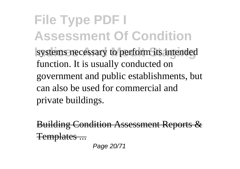**File Type PDF I Assessment Of Condition** systems necessary to perform its intended function. It is usually conducted on government and public establishments, but can also be used for commercial and private buildings.

Building Condition Assessment Reports & Templates ... Page 20/71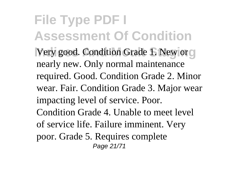**File Type PDF I Assessment Of Condition Very good. Condition Grade 1. New or Grade 1.** nearly new. Only normal maintenance required. Good. Condition Grade 2. Minor wear. Fair. Condition Grade 3. Major wear impacting level of service. Poor. Condition Grade 4. Unable to meet level of service life. Failure imminent. Very poor. Grade 5. Requires complete Page 21/71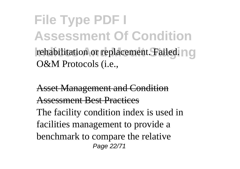**File Type PDF I Assessment Of Condition Individual Tradicion or replacement. Failed. 10** O&M Protocols (i.e.,

Asset Management and Condition Assessment Best Practices The facility condition index is used in facilities management to provide a benchmark to compare the relative Page 22/71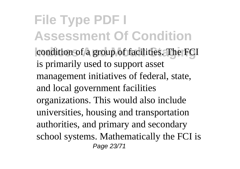**File Type PDF I Assessment Of Condition** condition of a group of facilities. The FCI is primarily used to support asset management initiatives of federal, state, and local government facilities organizations. This would also include universities, housing and transportation authorities, and primary and secondary school systems. Mathematically the FCI is Page 23/71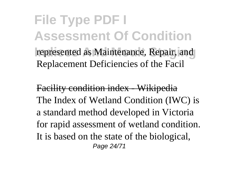**File Type PDF I Assessment Of Condition** represented as Maintenance, Repair, and Replacement Deficiencies of the Facil

Facility condition index - Wikipedia The Index of Wetland Condition (IWC) is a standard method developed in Victoria for rapid assessment of wetland condition. It is based on the state of the biological, Page 24/71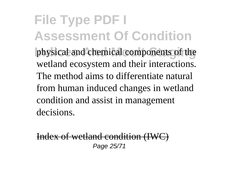**File Type PDF I Assessment Of Condition** physical and chemical components of the wetland ecosystem and their interactions. The method aims to differentiate natural from human induced changes in wetland condition and assist in management decisions.

Index of wetland condition (IWG) Page 25/71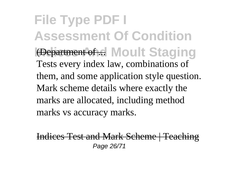**File Type PDF I Assessment Of Condition (Department of ...** Moult Staging Tests every index law, combinations of them, and some application style question. Mark scheme details where exactly the marks are allocated, including method marks vs accuracy marks.

Indices Test and Mark Scheme | Teaching Page 26/71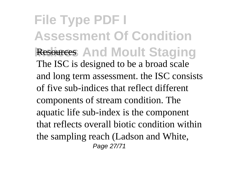**File Type PDF I Assessment Of Condition Resources And Moult Staging** The ISC is designed to be a broad scale and long term assessment. the ISC consists of five sub-indices that reflect different components of stream condition. The aquatic life sub-index is the component that reflects overall biotic condition within the sampling reach (Ladson and White, Page 27/71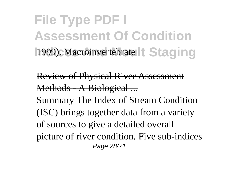**File Type PDF I Assessment Of Condition** 1999). Macroinvertebrate **t** Staging

Review of Physical River Assessment Methods - A Biological ... Summary The Index of Stream Condition (ISC) brings together data from a variety of sources to give a detailed overall picture of river condition. Five sub-indices Page 28/71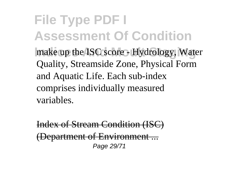**File Type PDF I Assessment Of Condition** make up the ISC score - Hydrology, Water Quality, Streamside Zone, Physical Form and Aquatic Life. Each sub-index comprises individually measured variables.

Index of Stream Condition (ISC) (Department of Environment ... Page 29/71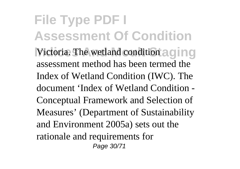**File Type PDF I Assessment Of Condition Victoria. The wetland condition and individual** assessment method has been termed the Index of Wetland Condition (IWC). The document 'Index of Wetland Condition - Conceptual Framework and Selection of Measures' (Department of Sustainability and Environment 2005a) sets out the rationale and requirements for Page 30/71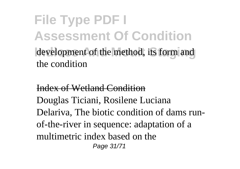**File Type PDF I Assessment Of Condition** development of the method, its form and the condition

Index of Wetland Condition Douglas Ticiani, Rosilene Luciana Delariva, The biotic condition of dams runof-the-river in sequence: adaptation of a multimetric index based on the Page 31/71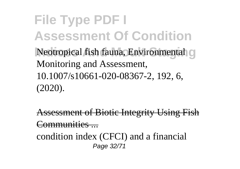**File Type PDF I Assessment Of Condition Neotropical fish fauna, Environmental C** Monitoring and Assessment, 10.1007/s10661-020-08367-2, 192, 6, (2020).

Assessment of Biotic Integrity Using Fish  $\sim$ mmunities  $\sim$ 

condition index (CFCI) and a financial Page 32/71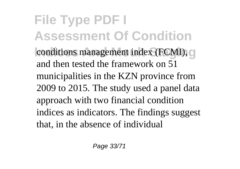**File Type PDF I Assessment Of Condition** conditions management index (FCMI), or and then tested the framework on 51 municipalities in the KZN province from 2009 to 2015. The study used a panel data approach with two financial condition indices as indicators. The findings suggest that, in the absence of individual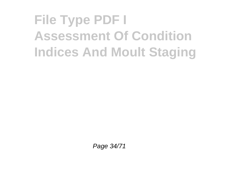## **File Type PDF I Assessment Of Condition Indices And Moult Staging**

Page 34/71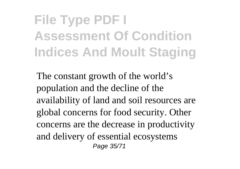## **File Type PDF I Assessment Of Condition Indices And Moult Staging**

The constant growth of the world's population and the decline of the availability of land and soil resources are global concerns for food security. Other concerns are the decrease in productivity and delivery of essential ecosystems Page 35/71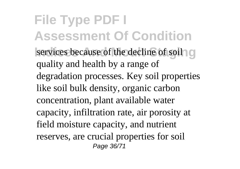**File Type PDF I Assessment Of Condition Indices Secause of the decline of soil and Services because of the decline of soil and** quality and health by a range of degradation processes. Key soil properties like soil bulk density, organic carbon concentration, plant available water capacity, infiltration rate, air porosity at field moisture capacity, and nutrient reserves, are crucial properties for soil Page 36/71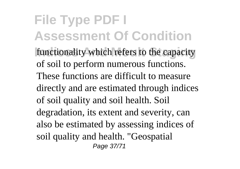**File Type PDF I Assessment Of Condition** functionality which refers to the capacity of soil to perform numerous functions. These functions are difficult to measure directly and are estimated through indices of soil quality and soil health. Soil degradation, its extent and severity, can also be estimated by assessing indices of soil quality and health. "Geospatial Page 37/71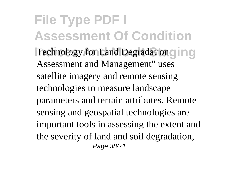**File Type PDF I Assessment Of Condition Technology for Land Degradation** Assessment and Management" uses satellite imagery and remote sensing technologies to measure landscape parameters and terrain attributes. Remote sensing and geospatial technologies are important tools in assessing the extent and the severity of land and soil degradation, Page 38/71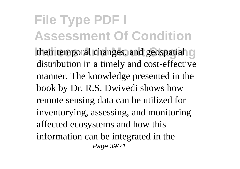**File Type PDF I Assessment Of Condition** their temporal changes, and geospatial **of** distribution in a timely and cost-effective manner. The knowledge presented in the book by Dr. R.S. Dwivedi shows how remote sensing data can be utilized for inventorying, assessing, and monitoring affected ecosystems and how this information can be integrated in the Page 39/71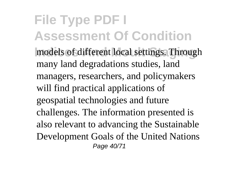**File Type PDF I Assessment Of Condition** models of different local settings. Through many land degradations studies, land managers, researchers, and policymakers will find practical applications of geospatial technologies and future challenges. The information presented is also relevant to advancing the Sustainable Development Goals of the United Nations Page 40/71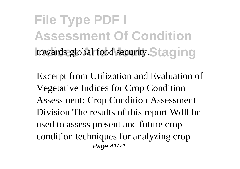**File Type PDF I Assessment Of Condition Indicate Staging towards global food security. Staging** 

Excerpt from Utilization and Evaluation of Vegetative Indices for Crop Condition Assessment: Crop Condition Assessment Division The results of this report Wdll be used to assess present and future crop condition techniques for analyzing crop Page 41/71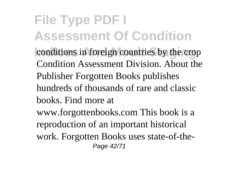**File Type PDF I Assessment Of Condition** conditions in foreign countries by the crop Condition Assessment Division. About the Publisher Forgotten Books publishes hundreds of thousands of rare and classic books. Find more at www.forgottenbooks.com This book is a reproduction of an important historical work. Forgotten Books uses state-of-the-Page 42/71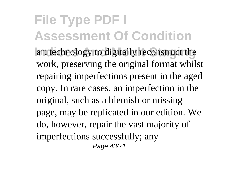#### **File Type PDF I Assessment Of Condition** art technology to digitally reconstruct the work, preserving the original format whilst repairing imperfections present in the aged copy. In rare cases, an imperfection in the original, such as a blemish or missing page, may be replicated in our edition. We do, however, repair the vast majority of imperfections successfully; any Page 43/71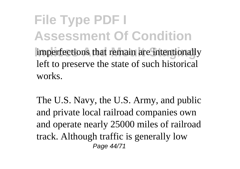**File Type PDF I Assessment Of Condition** imperfections that remain are intentionally left to preserve the state of such historical works.

The U.S. Navy, the U.S. Army, and public and private local railroad companies own and operate nearly 25000 miles of railroad track. Although traffic is generally low Page 44/71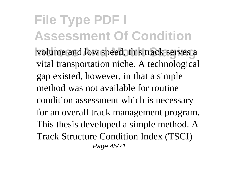**File Type PDF I Assessment Of Condition** volume and low speed, this track serves a vital transportation niche. A technological gap existed, however, in that a simple method was not available for routine condition assessment which is necessary for an overall track management program. This thesis developed a simple method. A Track Structure Condition Index (TSCI) Page 45/71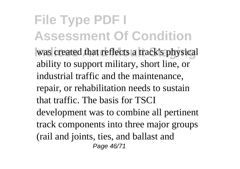**File Type PDF I Assessment Of Condition** was created that reflects a track's physical ability to support military, short line, or industrial traffic and the maintenance, repair, or rehabilitation needs to sustain that traffic. The basis for TSCI development was to combine all pertinent track components into three major groups (rail and joints, ties, and ballast and Page 46/71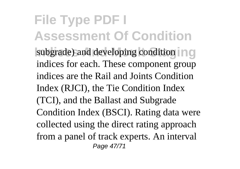**File Type PDF I Assessment Of Condition Indicate And Mondition** and developing condition indices for each. These component group indices are the Rail and Joints Condition Index (RJCI), the Tie Condition Index (TCI), and the Ballast and Subgrade Condition Index (BSCI). Rating data were collected using the direct rating approach from a panel of track experts. An interval Page 47/71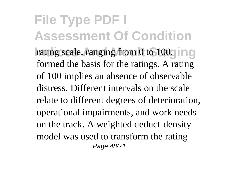**File Type PDF I Assessment Of Condition Indicate And Mountains** rating scale, ranging from 0 to 100, formed the basis for the ratings. A rating of 100 implies an absence of observable distress. Different intervals on the scale relate to different degrees of deterioration, operational impairments, and work needs on the track. A weighted deduct-density model was used to transform the rating Page 48/71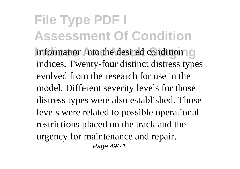**File Type PDF I Assessment Of Condition Information into the desired condition of** indices. Twenty-four distinct distress types evolved from the research for use in the model. Different severity levels for those distress types were also established. Those levels were related to possible operational restrictions placed on the track and the urgency for maintenance and repair. Page 49/71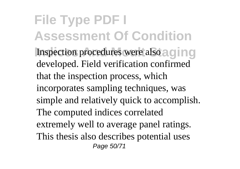**File Type PDF I Assessment Of Condition Inspection procedures were also a cuin quality** developed. Field verification confirmed that the inspection process, which incorporates sampling techniques, was simple and relatively quick to accomplish. The computed indices correlated extremely well to average panel ratings. This thesis also describes potential uses Page 50/71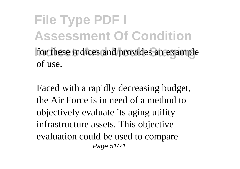**File Type PDF I Assessment Of Condition** for these indices and provides an example of use.

Faced with a rapidly decreasing budget, the Air Force is in need of a method to objectively evaluate its aging utility infrastructure assets. This objective evaluation could be used to compare Page 51/71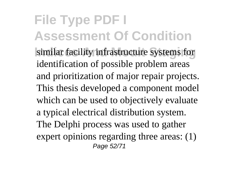**File Type PDF I Assessment Of Condition** similar facility infrastructure systems for identification of possible problem areas and prioritization of major repair projects. This thesis developed a component model which can be used to objectively evaluate a typical electrical distribution system. The Delphi process was used to gather expert opinions regarding three areas: (1) Page 52/71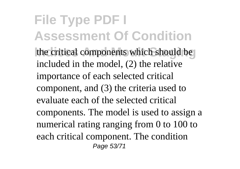**File Type PDF I Assessment Of Condition** the critical components which should be included in the model, (2) the relative importance of each selected critical component, and (3) the criteria used to evaluate each of the selected critical components. The model is used to assign a numerical rating ranging from 0 to 100 to each critical component. The condition Page 53/71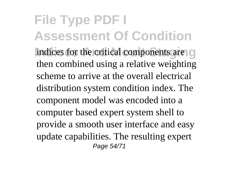**File Type PDF I Assessment Of Condition** indices for the critical components are components then combined using a relative weighting scheme to arrive at the overall electrical distribution system condition index. The component model was encoded into a computer based expert system shell to provide a smooth user interface and easy update capabilities. The resulting expert Page 54/71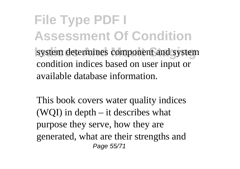**File Type PDF I Assessment Of Condition** system determines component and system condition indices based on user input or available database information.

This book covers water quality indices (WQI) in depth – it describes what purpose they serve, how they are generated, what are their strengths and Page 55/71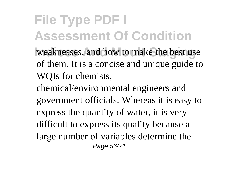**File Type PDF I Assessment Of Condition** weaknesses, and how to make the best use of them. It is a concise and unique guide to WQIs for chemists,

chemical/environmental engineers and government officials. Whereas it is easy to express the quantity of water, it is very difficult to express its quality because a large number of variables determine the Page 56/71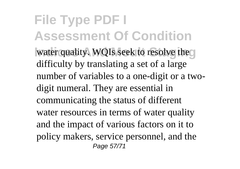**File Type PDF I Assessment Of Condition** water quality. WQIs seek to resolve the difficulty by translating a set of a large number of variables to a one-digit or a twodigit numeral. They are essential in communicating the status of different water resources in terms of water quality and the impact of various factors on it to policy makers, service personnel, and the Page 57/71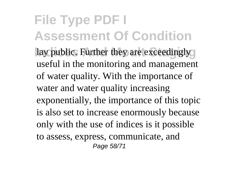**File Type PDF I Assessment Of Condition** lay public. Further they are exceedingly useful in the monitoring and management of water quality. With the importance of water and water quality increasing exponentially, the importance of this topic is also set to increase enormously because only with the use of indices is it possible to assess, express, communicate, and Page 58/71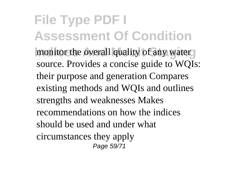**File Type PDF I Assessment Of Condition Indicate monitor the overall quality of any water** source. Provides a concise guide to WQIs: their purpose and generation Compares existing methods and WQIs and outlines strengths and weaknesses Makes recommendations on how the indices should be used and under what circumstances they apply Page 59/71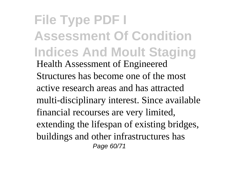**File Type PDF I Assessment Of Condition Indices And Moult Staging** Health Assessment of Engineered Structures has become one of the most active research areas and has attracted multi-disciplinary interest. Since available financial recourses are very limited, extending the lifespan of existing bridges, buildings and other infrastructures has Page 60/71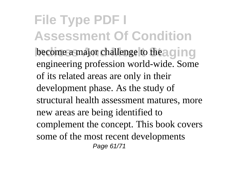**File Type PDF I Assessment Of Condition become a major challenge to the aqinq** engineering profession world-wide. Some of its related areas are only in their development phase. As the study of structural health assessment matures, more new areas are being identified to complement the concept. This book covers some of the most recent developments Page 61/71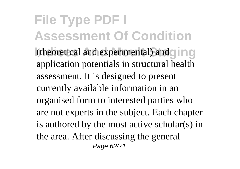**File Type PDF I Assessment Of Condition** (theoretical and experimental) and **no** application potentials in structural health assessment. It is designed to present currently available information in an organised form to interested parties who are not experts in the subject. Each chapter is authored by the most active scholar(s) in the area. After discussing the general Page 62/71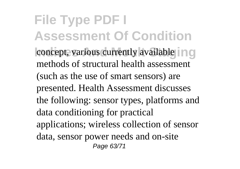**File Type PDF I Assessment Of Condition Indices Concept, various currently available** methods of structural health assessment (such as the use of smart sensors) are presented. Health Assessment discusses the following: sensor types, platforms and data conditioning for practical applications; wireless collection of sensor data, sensor power needs and on-site Page 63/71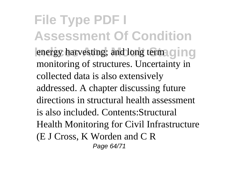**File Type PDF I Assessment Of Condition Indicates And State Stage Stage Stage Stage Stage Stage Stage Stage Stage Stage Stage Stage Stage Stage Stage Stage Stage Stage Stage Stage Stage Stage Stage Stage Stage Stage Stage Stage Stage Stage Stage Stage Stage Sta** monitoring of structures. Uncertainty in collected data is also extensively addressed. A chapter discussing future directions in structural health assessment is also included. Contents:Structural Health Monitoring for Civil Infrastructure (E J Cross, K Worden and C R Page 64/71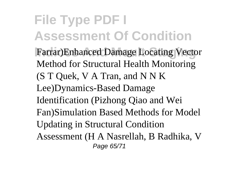**File Type PDF I Assessment Of Condition Farrar)Enhanced Damage Locating Vector** Method for Structural Health Monitoring (S T Quek, V A Tran, and N N K Lee)Dynamics-Based Damage Identification (Pizhong Qiao and Wei Fan)Simulation Based Methods for Model Updating in Structural Condition Assessment (H A Nasrellah, B Radhika, V Page 65/71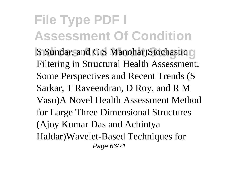**File Type PDF I Assessment Of Condition S Sundar, and C S Manohar)Stochastic** Filtering in Structural Health Assessment: Some Perspectives and Recent Trends (S Sarkar, T Raveendran, D Roy, and R M Vasu)A Novel Health Assessment Method for Large Three Dimensional Structures (Ajoy Kumar Das and Achintya Haldar)Wavelet-Based Techniques for Page 66/71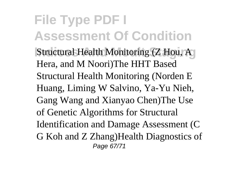**File Type PDF I Assessment Of Condition Structural Health Monitoring (Z Hou, A)** Hera, and M Noori)The HHT Based Structural Health Monitoring (Norden E Huang, Liming W Salvino, Ya-Yu Nieh, Gang Wang and Xianyao Chen)The Use of Genetic Algorithms for Structural Identification and Damage Assessment (C G Koh and Z Zhang)Health Diagnostics of Page 67/71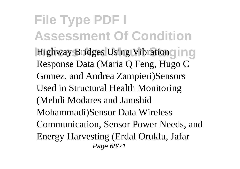**File Type PDF I Assessment Of Condition Indicates Indices** Using Vibration Response Data (Maria Q Feng, Hugo C Gomez, and Andrea Zampieri)Sensors Used in Structural Health Monitoring (Mehdi Modares and Jamshid Mohammadi)Sensor Data Wireless Communication, Sensor Power Needs, and Energy Harvesting (Erdal Oruklu, Jafar Page 68/71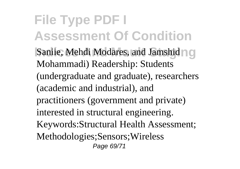**File Type PDF I Assessment Of Condition Saniie, Mehdi Modares, and Jamshid not** Mohammadi) Readership: Students (undergraduate and graduate), researchers (academic and industrial), and practitioners (government and private) interested in structural engineering. Keywords:Structural Health Assessment; Methodologies;Sensors;Wireless Page 69/71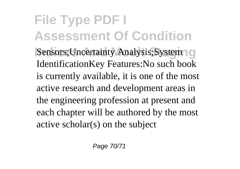**File Type PDF I Assessment Of Condition Sensors**; Uncertainty Analysis; System IdentificationKey Features:No such book is currently available, it is one of the most active research and development areas in the engineering profession at present and each chapter will be authored by the most active scholar(s) on the subject